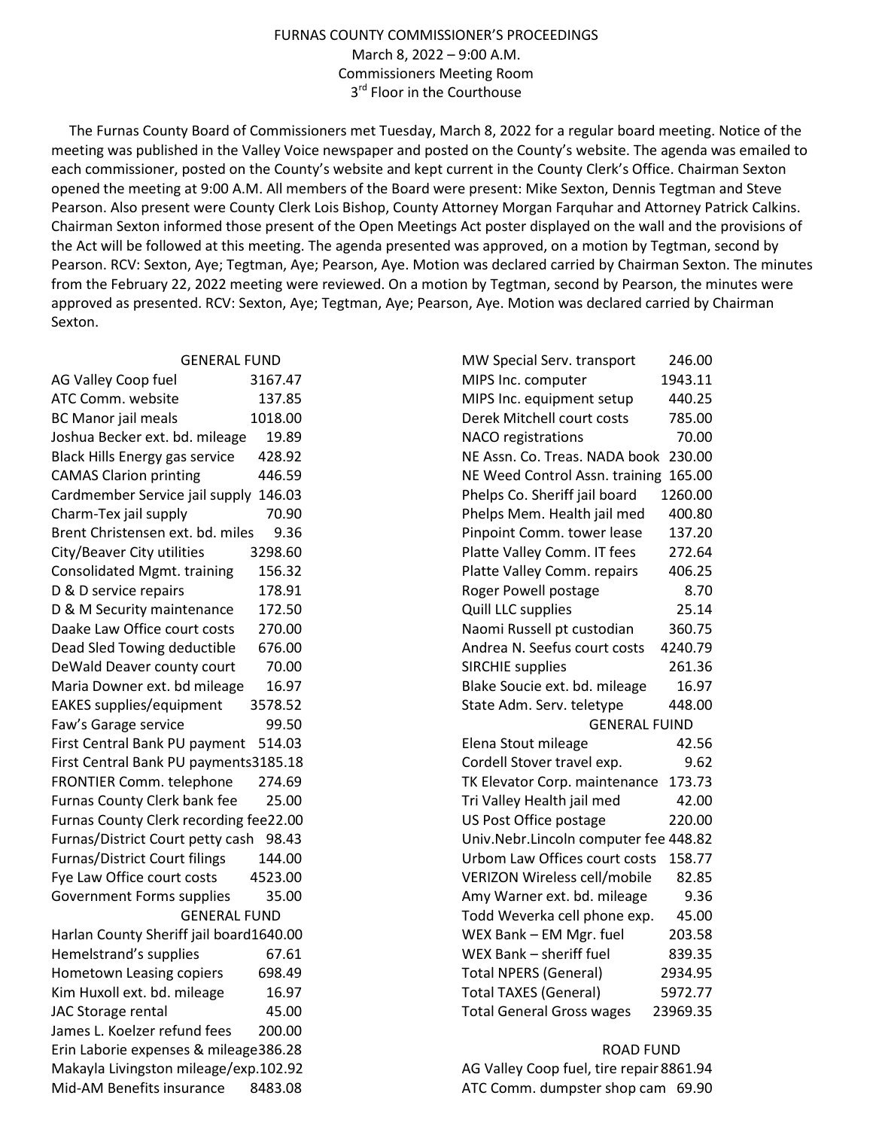## FURNAS COUNTY COMMISSIONER'S PROCEEDINGS March 8, 2022 – 9:00 A.M. Commissioners Meeting Room 3<sup>rd</sup> Floor in the Courthouse

 The Furnas County Board of Commissioners met Tuesday, March 8, 2022 for a regular board meeting. Notice of the meeting was published in the Valley Voice newspaper and posted on the County's website. The agenda was emailed to each commissioner, posted on the County's website and kept current in the County Clerk's Office. Chairman Sexton opened the meeting at 9:00 A.M. All members of the Board were present: Mike Sexton, Dennis Tegtman and Steve Pearson. Also present were County Clerk Lois Bishop, County Attorney Morgan Farquhar and Attorney Patrick Calkins. Chairman Sexton informed those present of the Open Meetings Act poster displayed on the wall and the provisions of the Act will be followed at this meeting. The agenda presented was approved, on a motion by Tegtman, second by Pearson. RCV: Sexton, Aye; Tegtman, Aye; Pearson, Aye. Motion was declared carried by Chairman Sexton. The minutes from the February 22, 2022 meeting were reviewed. On a motion by Tegtman, second by Pearson, the minutes were approved as presented. RCV: Sexton, Aye; Tegtman, Aye; Pearson, Aye. Motion was declared carried by Chairman Sexton.

| <b>GENERAL FUND</b>                             | MW Special Serv. transport<br>246.00         |
|-------------------------------------------------|----------------------------------------------|
| AG Valley Coop fuel<br>3167.47                  | 1943.11<br>MIPS Inc. computer                |
| ATC Comm. website<br>137.85                     | 440.25<br>MIPS Inc. equipment setup          |
| <b>BC Manor jail meals</b><br>1018.00           | Derek Mitchell court costs<br>785.00         |
| 19.89<br>Joshua Becker ext. bd. mileage         | 70.00<br>NACO registrations                  |
| <b>Black Hills Energy gas service</b><br>428.92 | NE Assn. Co. Treas. NADA book 230.00         |
| <b>CAMAS Clarion printing</b><br>446.59         | NE Weed Control Assn. training 165.00        |
| Cardmember Service jail supply 146.03           | 1260.00<br>Phelps Co. Sheriff jail board     |
| Charm-Tex jail supply<br>70.90                  | Phelps Mem. Health jail med<br>400.80        |
| 9.36<br>Brent Christensen ext. bd. miles        | Pinpoint Comm. tower lease<br>137.20         |
| City/Beaver City utilities<br>3298.60           | 272.64<br>Platte Valley Comm. IT fees        |
| <b>Consolidated Mgmt. training</b><br>156.32    | 406.25<br>Platte Valley Comm. repairs        |
| D & D service repairs<br>178.91                 | Roger Powell postage<br>8.70                 |
| D & M Security maintenance<br>172.50            | 25.14<br>Quill LLC supplies                  |
| 270.00<br>Daake Law Office court costs          | Naomi Russell pt custodian<br>360.75         |
| Dead Sled Towing deductible<br>676.00           | 4240.79<br>Andrea N. Seefus court costs      |
| 70.00<br>DeWald Deaver county court             | 261.36<br><b>SIRCHIE supplies</b>            |
| 16.97<br>Maria Downer ext. bd mileage           | 16.97<br>Blake Soucie ext. bd. mileage       |
| 3578.52<br><b>EAKES</b> supplies/equipment      | State Adm. Serv. teletype<br>448.00          |
| 99.50<br>Faw's Garage service                   | <b>GENERAL FUIND</b>                         |
| First Central Bank PU payment 514.03            | 42.56<br>Elena Stout mileage                 |
| First Central Bank PU payments3185.18           | Cordell Stover travel exp.<br>9.62           |
| FRONTIER Comm. telephone<br>274.69              | 173.73<br>TK Elevator Corp. maintenance      |
| Furnas County Clerk bank fee<br>25.00           | 42.00<br>Tri Valley Health jail med          |
| Furnas County Clerk recording fee22.00          | US Post Office postage<br>220.00             |
| Furnas/District Court petty cash 98.43          | Univ.Nebr.Lincoln computer fee 448.82        |
| <b>Furnas/District Court filings</b><br>144.00  | Urbom Law Offices court costs<br>158.77      |
| Fye Law Office court costs<br>4523.00           | <b>VERIZON Wireless cell/mobile</b><br>82.85 |
| Government Forms supplies<br>35.00              | Amy Warner ext. bd. mileage<br>9.36          |
| <b>GENERAL FUND</b>                             | Todd Weverka cell phone exp.<br>45.00        |
| Harlan County Sheriff jail board1640.00         | 203.58<br>WEX Bank - EM Mgr. fuel            |
| Hemelstrand's supplies<br>67.61                 | WEX Bank - sheriff fuel<br>839.35            |
| Hometown Leasing copiers<br>698.49              | <b>Total NPERS (General)</b><br>2934.95      |
| Kim Huxoll ext. bd. mileage<br>16.97            | <b>Total TAXES (General)</b><br>5972.77      |
| JAC Storage rental<br>45.00                     | <b>Total General Gross wages</b><br>23969.35 |
| James L. Koelzer refund fees<br>200.00          |                                              |
| Erin Laborie expenses & mileage386.28           | <b>ROAD FUND</b>                             |
| Makayla Livingston mileage/exp.102.92           | AG Valley Coop fuel, tire repair 8861.94     |
| Mid-AM Benefits insurance<br>8483.08            | ATC Comm. dumpster shop cam 69.90            |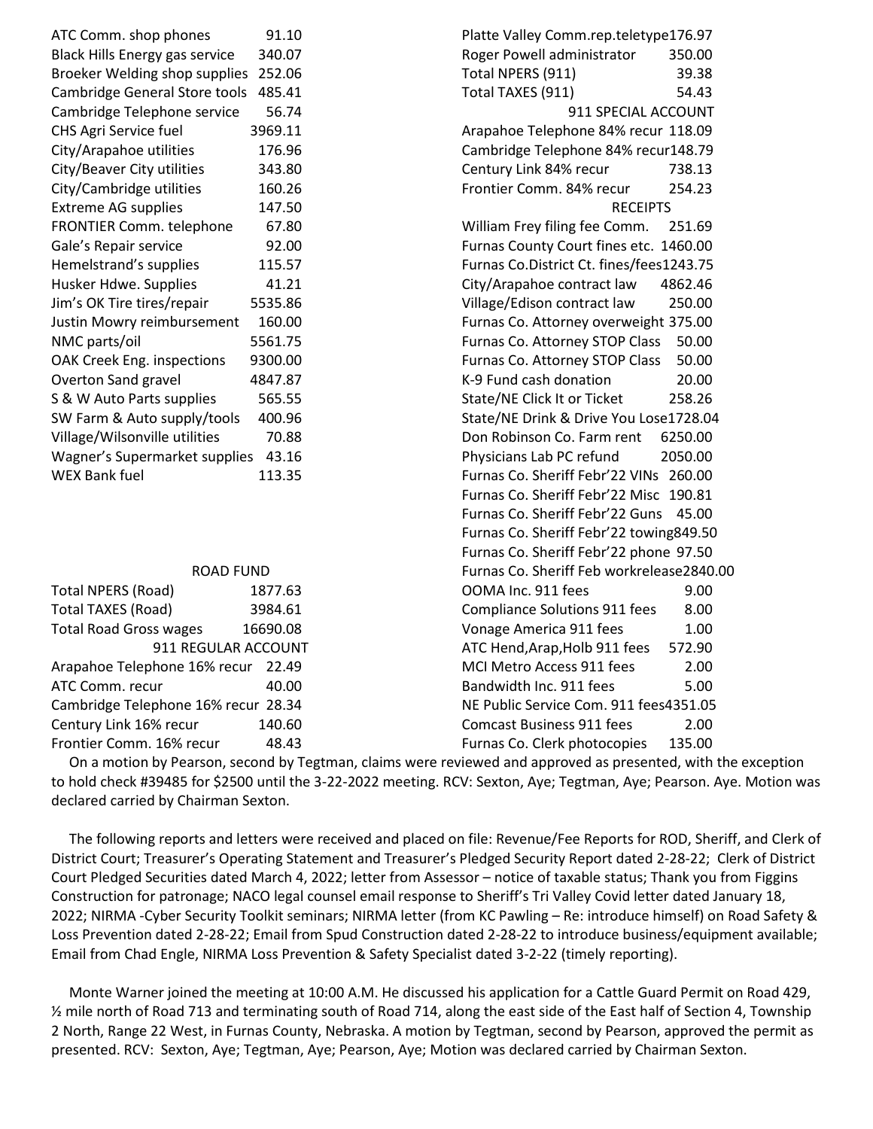| ATC Comm. shop phones               | 91.10               | Platte Valley Comm.rep.teletype176.97        |
|-------------------------------------|---------------------|----------------------------------------------|
| Black Hills Energy gas service      | 340.07              | Roger Powell administrator<br>350.00         |
| Broeker Welding shop supplies       | 252.06              | Total NPERS (911)<br>39.38                   |
| Cambridge General Store tools       | 485.41              | 54.43<br>Total TAXES (911)                   |
| Cambridge Telephone service         | 56.74               | 911 SPECIAL ACCOUNT                          |
| CHS Agri Service fuel               | 3969.11             | Arapahoe Telephone 84% recur 118.09          |
| City/Arapahoe utilities             | 176.96              | Cambridge Telephone 84% recur148.79          |
| City/Beaver City utilities          | 343.80              | Century Link 84% recur<br>738.13             |
| City/Cambridge utilities            | 160.26              | Frontier Comm. 84% recur<br>254.23           |
| <b>Extreme AG supplies</b>          | 147.50              | <b>RECEIPTS</b>                              |
| FRONTIER Comm. telephone            | 67.80               | William Frey filing fee Comm.<br>251.69      |
| Gale's Repair service               | 92.00               | Furnas County Court fines etc. 1460.00       |
| Hemelstrand's supplies              | 115.57              | Furnas Co.District Ct. fines/fees1243.75     |
| Husker Hdwe. Supplies               | 41.21               | City/Arapahoe contract law<br>4862.46        |
| Jim's OK Tire tires/repair          | 5535.86             | Village/Edison contract law<br>250.00        |
| Justin Mowry reimbursement          | 160.00              | Furnas Co. Attorney overweight 375.00        |
| NMC parts/oil                       | 5561.75             | 50.00<br>Furnas Co. Attorney STOP Class      |
| OAK Creek Eng. inspections          | 9300.00             | 50.00<br>Furnas Co. Attorney STOP Class      |
| Overton Sand gravel                 | 4847.87             | K-9 Fund cash donation<br>20.00              |
| S & W Auto Parts supplies           | 565.55              | State/NE Click It or Ticket<br>258.26        |
| SW Farm & Auto supply/tools         | 400.96              | State/NE Drink & Drive You Lose1728.04       |
| Village/Wilsonville utilities       | 70.88               | Don Robinson Co. Farm rent<br>6250.00        |
| Wagner's Supermarket supplies       | 43.16               | Physicians Lab PC refund<br>2050.00          |
| <b>WEX Bank fuel</b>                | 113.35              | Furnas Co. Sheriff Febr'22 VINs 260.00       |
|                                     |                     | Furnas Co. Sheriff Febr'22 Misc 190.81       |
|                                     |                     | Furnas Co. Sheriff Febr'22 Guns<br>45.00     |
|                                     |                     | Furnas Co. Sheriff Febr'22 towing849.50      |
|                                     |                     | Furnas Co. Sheriff Febr'22 phone 97.50       |
|                                     | <b>ROAD FUND</b>    | Furnas Co. Sheriff Feb workrelease2840       |
| <b>Total NPERS (Road)</b>           | 1877.63             | OOMA Inc. 911 fees<br>9.00                   |
| <b>Total TAXES (Road)</b>           | 3984.61             | <b>Compliance Solutions 911 fees</b><br>8.00 |
| <b>Total Road Gross wages</b>       | 16690.08            | Vonage America 911 fees<br>1.00              |
|                                     | 911 REGULAR ACCOUNT | 572.90<br>ATC Hend, Arap, Holb 911 fees      |
| Arapahoe Telephone 16% recur        | 22.49               | MCI Metro Access 911 fees<br>2.00            |
| ATC Comm. recur                     | 40.00               | Bandwidth Inc. 911 fees<br>5.00              |
| Cambridge Telephone 16% recur 28.34 |                     | NE Public Service Com. 911 fees4351.05       |
| Century Link 16% recur              | 140.60              | <b>Comcast Business 911 fees</b><br>2.00     |

Frontier Comm. 16% recur 48.43

Frontier Comm. 84% recur 254.23 **ECEIPTS** mm. 251.69 s etc. 1460.00 s/fees1243.75 aw 4862.46 IW 250.00 weight 375.00 Class 50.00  $P$  Class 50.00  $20.00$ 258.26 ou Lose1728.04 ent 6250.00 2050.00 2 VINs 260.00 2 Misc 190.81 2 Guns 45.00 Ptowing849.50 2 phone 97.50 rkrelease2840.00 OOMA Inc. 911 fees 9.00 1 fees 8.00 Vonage America 911 fees 1.00 fees 572.90 MCI Metro Access 911 fees 2.00 Bandwidth Inc. 911 fees 5.00 11 fees4351.05 Comcast Business 911 fees 2.00 Furnas Co. Clerk photocopies 135.00

 On a motion by Pearson, second by Tegtman, claims were reviewed and approved as presented, with the exception to hold check #39485 for \$2500 until the 3-22-2022 meeting. RCV: Sexton, Aye; Tegtman, Aye; Pearson. Aye. Motion was declared carried by Chairman Sexton.

 The following reports and letters were received and placed on file: Revenue/Fee Reports for ROD, Sheriff, and Clerk of District Court; Treasurer's Operating Statement and Treasurer's Pledged Security Report dated 2-28-22; Clerk of District Court Pledged Securities dated March 4, 2022; letter from Assessor – notice of taxable status; Thank you from Figgins Construction for patronage; NACO legal counsel email response to Sheriff's Tri Valley Covid letter dated January 18, 2022; NIRMA -Cyber Security Toolkit seminars; NIRMA letter (from KC Pawling – Re: introduce himself) on Road Safety & Loss Prevention dated 2-28-22; Email from Spud Construction dated 2-28-22 to introduce business/equipment available; Email from Chad Engle, NIRMA Loss Prevention & Safety Specialist dated 3-2-22 (timely reporting).

 Monte Warner joined the meeting at 10:00 A.M. He discussed his application for a Cattle Guard Permit on Road 429, ½ mile north of Road 713 and terminating south of Road 714, along the east side of the East half of Section 4, Township 2 North, Range 22 West, in Furnas County, Nebraska. A motion by Tegtman, second by Pearson, approved the permit as presented. RCV: Sexton, Aye; Tegtman, Aye; Pearson, Aye; Motion was declared carried by Chairman Sexton.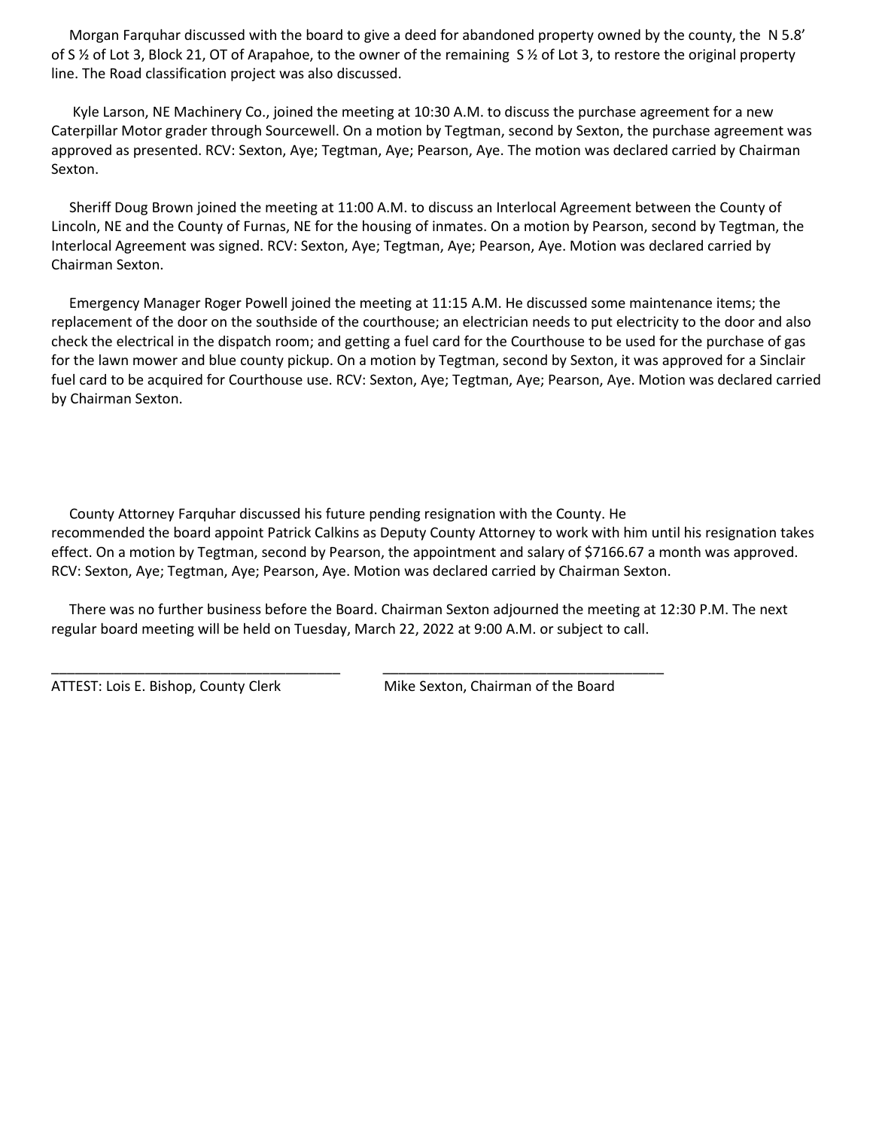Morgan Farquhar discussed with the board to give a deed for abandoned property owned by the county, the N 5.8' of S ½ of Lot 3, Block 21, OT of Arapahoe, to the owner of the remaining S ½ of Lot 3, to restore the original property line. The Road classification project was also discussed.

 Kyle Larson, NE Machinery Co., joined the meeting at 10:30 A.M. to discuss the purchase agreement for a new Caterpillar Motor grader through Sourcewell. On a motion by Tegtman, second by Sexton, the purchase agreement was approved as presented. RCV: Sexton, Aye; Tegtman, Aye; Pearson, Aye. The motion was declared carried by Chairman Sexton.

 Sheriff Doug Brown joined the meeting at 11:00 A.M. to discuss an Interlocal Agreement between the County of Lincoln, NE and the County of Furnas, NE for the housing of inmates. On a motion by Pearson, second by Tegtman, the Interlocal Agreement was signed. RCV: Sexton, Aye; Tegtman, Aye; Pearson, Aye. Motion was declared carried by Chairman Sexton.

 Emergency Manager Roger Powell joined the meeting at 11:15 A.M. He discussed some maintenance items; the replacement of the door on the southside of the courthouse; an electrician needs to put electricity to the door and also check the electrical in the dispatch room; and getting a fuel card for the Courthouse to be used for the purchase of gas for the lawn mower and blue county pickup. On a motion by Tegtman, second by Sexton, it was approved for a Sinclair fuel card to be acquired for Courthouse use. RCV: Sexton, Aye; Tegtman, Aye; Pearson, Aye. Motion was declared carried by Chairman Sexton.

 County Attorney Farquhar discussed his future pending resignation with the County. He recommended the board appoint Patrick Calkins as Deputy County Attorney to work with him until his resignation takes effect. On a motion by Tegtman, second by Pearson, the appointment and salary of \$7166.67 a month was approved. RCV: Sexton, Aye; Tegtman, Aye; Pearson, Aye. Motion was declared carried by Chairman Sexton.

 There was no further business before the Board. Chairman Sexton adjourned the meeting at 12:30 P.M. The next regular board meeting will be held on Tuesday, March 22, 2022 at 9:00 A.M. or subject to call.

\_\_\_\_\_\_\_\_\_\_\_\_\_\_\_\_\_\_\_\_\_\_\_\_\_\_\_\_\_\_\_\_\_\_\_\_\_ \_\_\_\_\_\_\_\_\_\_\_\_\_\_\_\_\_\_\_\_\_\_\_\_\_\_\_\_\_\_\_\_\_\_\_\_

ATTEST: Lois E. Bishop, County Clerk Mike Sexton, Chairman of the Board